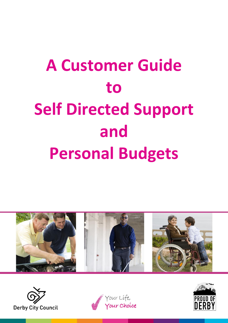# **A Customer Guide to Self Directed Support and Personal Budgets**







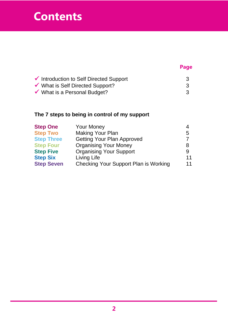# **Contents**

# **Page**

| Introduction to Self Directed Support   |  |
|-----------------------------------------|--|
| ◆ What is Self Directed Support?        |  |
| $\checkmark$ What is a Personal Budget? |  |

#### **The 7 steps to being in control of my support**

| <b>Step One</b>   | <b>Your Money</b>                            |    |
|-------------------|----------------------------------------------|----|
| <b>Step Two</b>   | <b>Making Your Plan</b>                      | 5  |
| <b>Step Three</b> | <b>Getting Your Plan Approved</b>            |    |
| <b>Step Four</b>  | <b>Organising Your Money</b>                 | 8  |
| <b>Step Five</b>  | <b>Organising Your Support</b>               |    |
| <b>Step Six</b>   | Living Life                                  | 11 |
| <b>Step Seven</b> | <b>Checking Your Support Plan is Working</b> | 11 |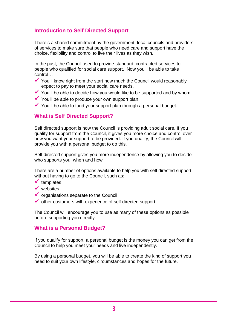#### **Introduction to Self Directed Support**

There's a shared commitment by the government, local councils and providers of services to make sure that people who need care and support have the choice, flexibility and control to live their lives as they wish.

In the past, the Council used to provide standard, contracted services to people who qualified for social care support. Now you'll be able to take control…

- $\checkmark$  You'll know right from the start how much the Council would reasonably expect to pay to meet your social care needs.
- $\checkmark$  You'll be able to decide how you would like to be supported and by whom.
- $\checkmark$  You'll be able to produce your own support plan.
- $\checkmark$  You'll be able to fund your support plan through a personal budget.

#### **What is Self Directed Support?**

Self directed support is how the Council is providing adult social care. If you qualify for support from the Council, it gives you more choice and control over how you want your support to be provided. If you qualify, the Council will provide you with a personal budget to do this.

Self directed support gives you more independence by allowing you to decide who supports you, when and how.

There are a number of options available to help you with self directed support without having to go to the Council, such as:

- $\checkmark$  templates
- $\sqrt{\overline{\mathsf{w}}$  websites
- organisations separate to the Council
- other customers with experience of self directed support.

The Council will encourage you to use as many of these options as possible before supporting you directly.

#### **What is a Personal Budget?**

If you qualify for support, a personal budget is the money you can get from the Council to help you meet your needs and live independently.

By using a personal budget, you will be able to create the kind of support you need to suit your own lifestyle, circumstances and hopes for the future.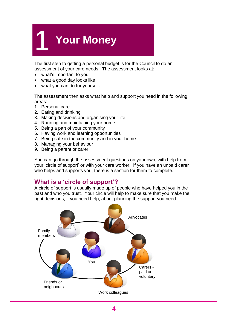# 1 **Your Money**

The first step to getting a personal budget is for the Council to do an assessment of your care needs. The assessment looks at:

- what's important to you
- what a good day looks like
- what you can do for yourself.

The assessment then asks what help and support you need in the following areas:

- 1. Personal care
- 2. Eating and drinking
- 3. Making decisions and organising your life
- 4. Running and maintaining your home
- 5. Being a part of your community
- 6. Having work and learning opportunities
- 7. Being safe in the community and in your home
- 8. Managing your behaviour
- 9. Being a parent or carer

You can go through the assessment questions on your own, with help from your 'circle of support' or with your care worker. If you have an unpaid carer who helps and supports you, there is a section for them to complete.

#### **What is a 'circle of support'?**

A circle of support is usually made up of people who have helped you in the past and who you trust. Your circle will help to make sure that you make the right decisions, if you need help, about planning the support you need.

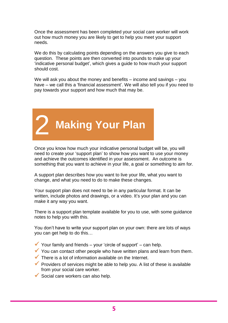Once the assessment has been completed your social care worker will work out how much money you are likely to get to help you meet your support needs.

We do this by calculating points depending on the answers you give to each question. These points are then converted into pounds to make up your 'indicative personal budget', which gives a guide to how much your support should cost.

We will ask you about the money and benefits – income and savings – you have – we call this a 'financial assessment'. We will also tell you if you need to pay towards your support and how much that may be.



Once you know how much your indicative personal budget will be, you will need to create your 'support plan' to show how you want to use your money and achieve the outcomes identified in your assessment. An outcome is something that you want to achieve in your life, a goal or something to aim for.

A support plan describes how you want to live your life, what you want to change, and what you need to do to make these changes.

Your support plan does not need to be in any particular format. It can be written, include photos and drawings, or a video. It's your plan and you can make it any way you want.

There is a support plan template available for you to use, with some guidance notes to help you with this.

You don't have to write your support plan on your own: there are lots of ways you can get help to do this…

- Your family and friends your 'circle of support' can help.
- You can contact other people who have written plans and learn from them.
- $\checkmark$  There is a lot of information available on the Internet.
- **Providers of services might be able to help you. A list of these is available** from your social care worker.
- $\checkmark$  Social care workers can also help.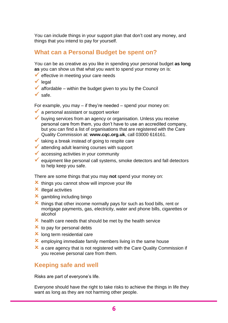You can include things in your support plan that don't cost any money, and things that you intend to pay for yourself.

#### **What can a Personal Budget be spent on?**

You can be as creative as you like in spending your personal budget **as long as** you can show us that what you want to spend your money on is:

- $\checkmark$  effective in meeting your care needs
- $\checkmark$  legal
- $\checkmark$  affordable within the budget given to you by the Council
- $\checkmark$  safe.

For example, you may – if they're needed – spend your money on:

- $\checkmark$  a personal assistant or support worker
- buying services from an agency or organisation. Unless you receive personal care from them, you don't have to use an accredited company, but you can find a list of organisations that are registered with the Care Quality Commission at: **www.cqc.org.uk**, call 03000 616161.
- $\checkmark$  taking a break instead of going to respite care
- $\blacktriangleright$  attending adult learning courses with support
- $\checkmark$  accessing activities in your community
- $\checkmark$  equipment like personal call systems, smoke detectors and fall detectors to help keep you safe.

There are some things that you may **not** spend your money on:

- $\mathbf{\times}$  things you cannot show will improve your life
- $x$  illegal activities
- $\times$  gambling including bingo
- $\boldsymbol{\times}$  things that other income normally pays for such as food bills, rent or mortgage payments, gas, electricity, water and phone bills, cigarettes or alcohol
- $\mathbf{\times}$  health care needs that should be met by the health service
- $\mathbf{\times}$  to pay for personal debts
- **x** long term residential care
- $\mathbf{\times}$  employing immediate family members living in the same house
- $\mathbf{\times}$  a care agency that is not registered with the Care Quality Commission if you receive personal care from them.

#### **Keeping safe and well**

Risks are part of everyone's life.

Everyone should have the right to take risks to achieve the things in life they want as long as they are not harming other people.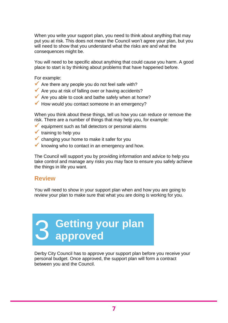When you write your support plan, you need to think about anything that may put you at risk. This does not mean the Council won't agree your plan, but you will need to show that you understand what the risks are and what the consequences might be.

You will need to be specific about anything that could cause you harm. A good place to start is by thinking about problems that have happened before.

For example:

- $\blacktriangleright$  Are there any people you do not feel safe with?
- $\blacklozenge$  Are you at risk of falling over or having accidents?
- Are you able to cook and bathe safely when at home?
- $\checkmark$  How would you contact someone in an emergency?

When you think about these things, tell us how you can reduce or remove the risk. There are a number of things that may help you, for example:

- $\checkmark$  equipment such as fall detectors or personal alarms
- $\checkmark$  training to help you
- **v** changing your home to make it safer for you
- $\checkmark$  knowing who to contact in an emergency and how.

The Council will support you by providing information and advice to help you take control and manage any risks you may face to ensure you safely achieve the things in life you want.

#### **Review**

You will need to show in your support plan when and how you are going to review your plan to make sure that what you are doing is working for you.

# 3 **Getting your plan approved**

Derby City Council has to approve your support plan before you receive your personal budget. Once approved, the support plan will form a contract between you and the Council.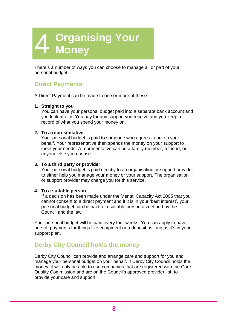# 4 **Organising Your Money**

There's a number of ways you can choose to manage all or part of your personal budget.

# **Direct Payments**

A Direct Payment can be made to one or more of these:

#### **1. Straight to you**

You can have your personal budget paid into a separate bank account and you look after it. You pay for any support you receive and you keep a record of what you spend your money on.

#### **2. To a representative**

Your personal budget is paid to someone who agrees to act on your behalf. Your representative then spends the money on your support to meet your needs. A representative can be a family member, a friend, or anyone else you choose.

#### **3. To a third party or provider**

Your personal budget is paid directly to an organisation or support provider to either help you manage your money or your support. The organisation or support provider may charge you for this service.

#### **4. To a suitable person**

If a decision has been made under the Mental Capacity Act 2005 that you cannot consent to a direct payment and if it is in your 'best interest', your personal budget can be paid to a suitable person as defined by the Council and the law.

Your personal budget will be paid every four weeks. You can apply to have one-off payments for things like equipment or a deposit as long as it's in your support plan.

#### **Derby City Council holds the money**

Derby City Council can provide and arrange care and support for you and manage your personal budget on your behalf. If Derby City Council holds the money, it will only be able to use companies that are registered with the Care Quality Commission and are on the Council's approved provider list, to provide your care and support.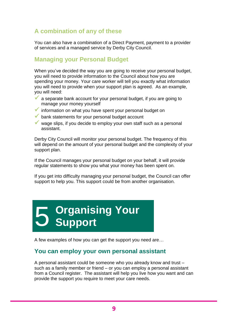# **A combination of any of these**

You can also have a combination of a Direct Payment, payment to a provider of services and a managed service by Derby City Council.

#### **Managing your Personal Budget**

When you've decided the way you are going to receive your personal budget, you will need to provide information to the Council about how you are spending your money. Your care worker will tell you exactly what information you will need to provide when your support plan is agreed. As an example, you will need:

- $\checkmark$  a separate bank account for your personal budget, if you are going to manage your money yourself
- $\checkmark$  information on what you have spent your personal budget on
- $\checkmark$  bank statements for your personal budget account
- wage slips, if you decide to employ your own staff such as a personal assistant.

Derby City Council will monitor your personal budget. The frequency of this will depend on the amount of your personal budget and the complexity of your support plan.

If the Council manages your personal budget on your behalf, it will provide regular statements to show you what your money has been spent on.

If you get into difficulty managing your personal budget, the Council can offer support to help you. This support could be from another organisation.

# 5 **Organising Your Support**

A few examples of how you can get the support you need are…

#### **You can employ your own personal assistant**

A personal assistant could be someone who you already know and trust – such as a family member or friend – or you can employ a personal assistant from a Council register. The assistant will help you live how you want and can provide the support you require to meet your care needs.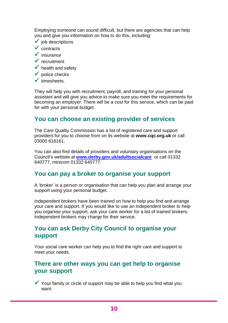Employing someone can sound difficult, but there are agencies that can help you and give you information on how to do this, including:

- $\checkmark$  job descriptions
- $\checkmark$  contracts
- $\checkmark$  insurance
- $\checkmark$  recruitment
- $\checkmark$  health and safety
- $\checkmark$  police checks
- $\checkmark$  timesheets.

They will help you with recruitment, payroll, and training for your personal assistant and will give you advice to make sure you meet the requirements for becoming an employer. There will be a cost for this service, which can be paid for with your personal budget.

#### **You can choose an existing provider of services**

The Care Quality Commission has a list of registered care and support providers for you to choose from on its website at **www.cqc.org.uk** or call 03000 616161.

You can also find details of providers and voluntary organisations on the Council's website at **[www.derby.gov.uk/adultsocialcare](http://www.derby.gov.uk/adultsocialcare)** or call 01332 640777, minicom 01332 640777.

#### **You can pay a broker to organise your support**

A 'broker' is a person or organisation that can help you plan and arrange your support using your personal budget.

Independent brokers have been trained on how to help you find and arrange your care and support. If you would like to use an independent broker to help you organise your support, ask your care worker for a list of trained brokers. Independent brokers may charge for their service.

#### **You can ask Derby City Council to organise your support**

Your social care worker can help you to find the right care and support to meet your needs.

#### **There are other ways you can get help to organise your support**

 $\checkmark$  Your family or circle of support may be able to help you find what you want.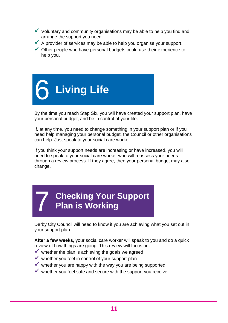- $\checkmark$  Voluntary and community organisations may be able to help you find and arrange the support you need.
- $\blacklozenge$  A provider of services may be able to help you organise your support.
- $\checkmark$  Other people who have personal budgets could use their experience to help you.



By the time you reach Step Six, you will have created your support plan, have your personal budget, and be in control of your life.

If, at any time, you need to change something in your support plan or if you need help managing your personal budget, the Council or other organisations can help. Just speak to your social care worker.

If you think your support needs are increasing or have increased, you will need to speak to your social care worker who will reassess your needs through a review process. If they agree, then your personal budget may also change.

# 7 **Checking Your Support Plan is Working**

Derby City Council will need to know if you are achieving what you set out in your support plan.

**After a few weeks,** your social care worker will speak to you and do a quick review of how things are going. This review will focus on:

- $\checkmark$  whether the plan is achieving the goals we agreed
- $\checkmark$  whether you feel in control of your support plan
- $\checkmark$  whether you are happy with the way you are being supported
- $\checkmark$  whether you feel safe and secure with the support you receive.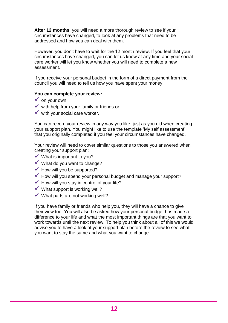**After 12 months**, you will need a more thorough review to see if your circumstances have changed, to look at any problems that need to be addressed and how you can deal with them.

However, you don't have to wait for the 12 month review. If you feel that your circumstances have changed, you can let us know at any time and your social care worker will let you know whether you will need to complete a new assessment.

If you receive your personal budget in the form of a direct payment from the council you will need to tell us how you have spent your money.

#### **You can complete your review:**

- $\checkmark$  on your own
- $\checkmark$  with help from your family or friends or
- $\checkmark$  with your social care worker.

You can record your review in any way you like, just as you did when creating your support plan. You might like to use the template 'My self assessment' that you originally completed if you feel your circumstances have changed.

Your review will need to cover similar questions to those you answered when creating your support plan:

- $\checkmark$  What is important to you?
- What do you want to change?
- $\checkmark$  How will you be supported?
- $\checkmark$  How will you spend your personal budget and manage your support?
- $\blacktriangleright$  How will you stay in control of your life?
- $\checkmark$  What support is working well?
- $\checkmark$  What parts are not working well?

If you have family or friends who help you, they will have a chance to give their view too. You will also be asked how your personal budget has made a difference to your life and what the most important things are that you want to work towards until the next review. To help you think about all of this we would advise you to have a look at your support plan before the review to see what you want to stay the same and what you want to change.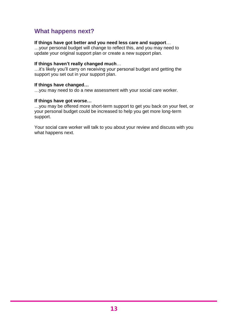## **What happens next?**

#### **If things have got better and you need less care and support**…

…your personal budget will change to reflect this, and you may need to update your original support plan or create a new support plan.

#### **If things haven't really changed much**…

…it's likely you'll carry on receiving your personal budget and getting the support you set out in your support plan.

#### **If things have changed…**

…you may need to do a new assessment with your social care worker.

#### **If things have got worse…**

…you may be offered more short-term support to get you back on your feet, or your personal budget could be increased to help you get more long-term support.

Your social care worker will talk to you about your review and discuss with you what happens next.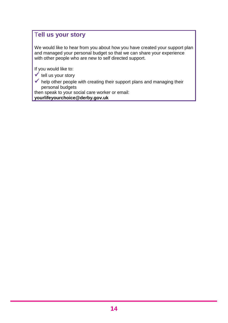# T**ell us your story**

We would like to hear from you about how you have created your support plan and managed your personal budget so that we can share your experience with other people who are new to self directed support.

If you would like to:

- $\checkmark$  tell us your story
- $\checkmark$  help other people with creating their support plans and managing their personal budgets

then speak to your social care worker or email:

**yourlifeyourchoice@derby.gov.uk**